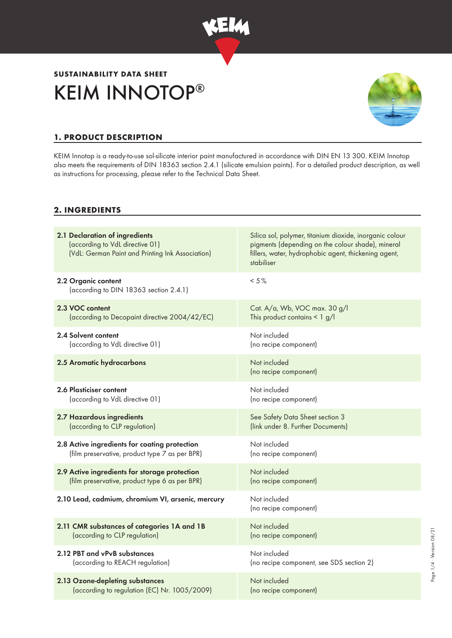

# KEIM INNOTOP® **SUSTAINABILITY DATA SHEET**



# **1. PRODUCT DESCRIPTION**

KEIM Innotop is a ready-to-use sol-silicate interior paint manufactured in accordance with DIN EN 13 300. KEIM Innotop also meets the requirements of DIN 18363 section 2.4.1 (silicate emulsion paints). For a detailed product description, as well as instructions for processing, please refer to the Technical Data Sheet.

## **2. INGREDIENTS**

| 2.1 Declaration of ingredients<br>(according to VdL directive 01)<br>(VdL: German Paint and Printing Ink Association) | Silica sol, polymer, titanium dioxide, inorganic colour<br>pigments (depending on the colour shade), mineral<br>fillers, water, hydrophobic agent, thickening agent,<br>stabiliser |
|-----------------------------------------------------------------------------------------------------------------------|------------------------------------------------------------------------------------------------------------------------------------------------------------------------------------|
| 2.2 Organic content<br>(according to DIN 18363 section 2.4.1)                                                         | $< 5\%$                                                                                                                                                                            |
| 2.3 VOC content                                                                                                       | Cat. A/a, Wb, VOC max. 30 g/l                                                                                                                                                      |
| (according to Decopaint directive 2004/42/EC)                                                                         | This product contains $\leq 1$ g/l                                                                                                                                                 |
| 2.4 Solvent content                                                                                                   | Not included                                                                                                                                                                       |
| (according to VdL directive 01)                                                                                       | (no recipe component)                                                                                                                                                              |
| 2.5 Aromatic hydrocarbons                                                                                             | Not included<br>(no recipe component)                                                                                                                                              |
| 2.6 Plasticiser content                                                                                               | Not included                                                                                                                                                                       |
| (according to VdL directive 01)                                                                                       | (no recipe component)                                                                                                                                                              |
| 2.7 Hazardous ingredients                                                                                             | See Safety Data Sheet section 3                                                                                                                                                    |
| (according to CLP regulation)                                                                                         | (link under 8. Further Documents)                                                                                                                                                  |
| 2.8 Active ingredients for coating protection                                                                         | Not included                                                                                                                                                                       |
| (film preservative, product type 7 as per BPR)                                                                        | (no recipe component)                                                                                                                                                              |
| 2.9 Active ingredients for storage protection                                                                         | Not included                                                                                                                                                                       |
| (film preservative, product type 6 as per BPR)                                                                        | (no recipe component)                                                                                                                                                              |
| 2.10 Lead, cadmium, chromium VI, arsenic, mercury                                                                     | Not included<br>(no recipe component)                                                                                                                                              |
| 2.11 CMR substances of categories 1A and 1B                                                                           | Not included                                                                                                                                                                       |
| (according to CLP regulation)                                                                                         | (no recipe component)                                                                                                                                                              |
| 2.12 PBT and vPvB substances                                                                                          | Not included                                                                                                                                                                       |
| (according to REACH regulation)                                                                                       | (no recipe component, see SDS section 2)                                                                                                                                           |
| 2.13 Ozone-depleting substances                                                                                       | Not included                                                                                                                                                                       |
| (according to regulation (EC) Nr. 1005/2009)                                                                          | (no recipe component)                                                                                                                                                              |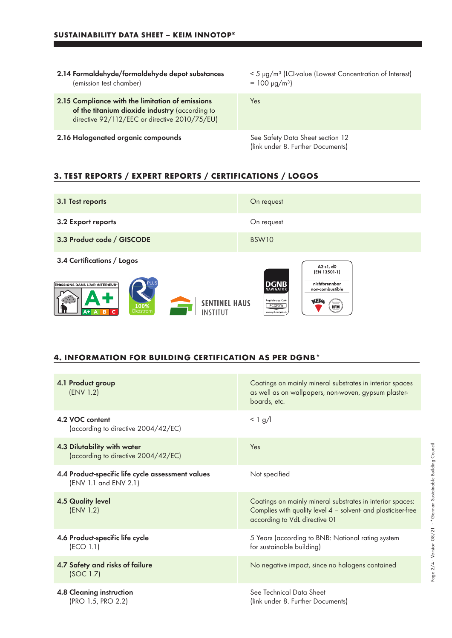- 2.14 Formaldehyde/formaldehyde depot substances (emission test chamber)
- 2.15 Compliance with the limitation of emissions of the titanium dioxide industry (according to directive 92/112/EEC or directive 2010/75/EU)
- 2.16 Halogenated organic compounds See Safety Data Sheet section 12

< 5 µg/m³ (LCI-value (Lowest Concentration of Interest)  $= 100 \text{ µg/m}^3$ 

Yes

(link under 8. Further Documents)

## **3. TEST REPORTS / EXPERT REPORTS / CERTIFICATIONS / LOGOS**



#### **4. INFORMATION FOR BUILDING CERTIFICATION AS PER DGNB\***

| 4.1 Product group<br>(ENV 1.2)                                             | Coatings on mainly mineral substrates in interior spaces<br>as well as on wallpapers, non-woven, gypsum plaster-<br>boards, etc.                            |
|----------------------------------------------------------------------------|-------------------------------------------------------------------------------------------------------------------------------------------------------------|
| 4.2 VOC content<br>(according to directive 2004/42/EC)                     | $< 1$ g/l                                                                                                                                                   |
| 4.3 Dilutability with water<br>(according to directive 2004/42/EC)         | Yes                                                                                                                                                         |
| 4.4 Product-specific life cycle assessment values<br>(ENV 1.1 and ENV 2.1) | Not specified                                                                                                                                               |
| <b>4.5 Quality level</b><br>(ENV 1.2)                                      | Coatings on mainly mineral substrates in interior spaces:<br>Complies with quality level 4 - solvent- and plasticiser-free<br>according to VdL directive 01 |
| 4.6 Product-specific life cycle<br>(ECO 1.1)                               | 5 Years (according to BNB: National rating system<br>for sustainable building)                                                                              |
| 4.7 Safety and risks of failure<br>(SOC 1.7)                               | No negative impact, since no halogens contained                                                                                                             |
| 4.8 Cleaning instruction<br>(PRO 1.5, PRO 2.2)                             | See Technical Data Sheet<br>(link under 8. Further Documents)                                                                                               |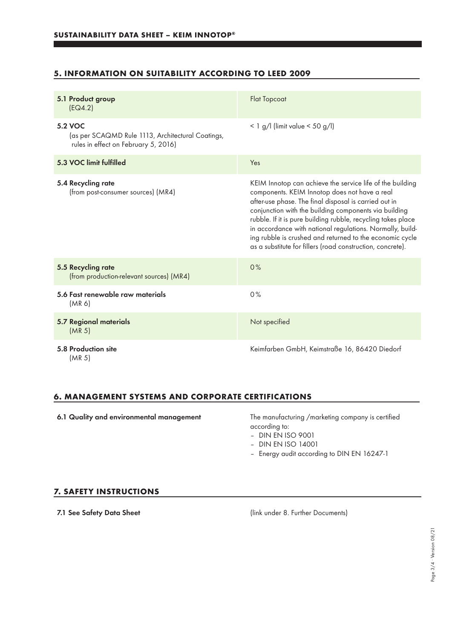## **5. INFORMATION ON SUITABILITY ACCORDING TO LEED 2009**

| 5.1 Product group<br>EG4.2)                                                                          | <b>Flat Topcoat</b>                                                                                                                                                                                                                                                                                                                                                                                                                                                                 |
|------------------------------------------------------------------------------------------------------|-------------------------------------------------------------------------------------------------------------------------------------------------------------------------------------------------------------------------------------------------------------------------------------------------------------------------------------------------------------------------------------------------------------------------------------------------------------------------------------|
| 5.2 VOC<br>(as per SCAQMD Rule 1113, Architectural Coatings,<br>rules in effect on February 5, 2016) | $<$ 1 g/l (limit value $<$ 50 g/l)                                                                                                                                                                                                                                                                                                                                                                                                                                                  |
| 5.3 VOC limit fulfilled                                                                              | Yes                                                                                                                                                                                                                                                                                                                                                                                                                                                                                 |
| 5.4 Recycling rate<br>(from post-consumer sources) (MR4)                                             | KEIM Innotop can achieve the service life of the building<br>components. KEIM Innotop does not have a real<br>after-use phase. The final disposal is carried out in<br>conjunction with the building components via building<br>rubble. If it is pure building rubble, recycling takes place<br>in accordance with national regulations. Normally, build-<br>ing rubble is crushed and returned to the economic cycle<br>as a substitute for fillers (road construction, concrete). |
| 5.5 Recycling rate<br>(from production-relevant sources) (MR4)                                       | 0%                                                                                                                                                                                                                                                                                                                                                                                                                                                                                  |
| 5.6 Fast renewable raw materials<br>(MR 6)                                                           | 0%                                                                                                                                                                                                                                                                                                                                                                                                                                                                                  |
| <b>5.7 Regional materials</b><br>(MR <sub>5</sub> )                                                  | Not specified                                                                                                                                                                                                                                                                                                                                                                                                                                                                       |
| 5.8 Production site<br>(MR 5)                                                                        | Keimfarben GmbH, Keimstraße 16, 86420 Diedorf                                                                                                                                                                                                                                                                                                                                                                                                                                       |

#### **6. MANAGEMENT SYSTEMS AND CORPORATE CERTIFICATIONS**

6.1 Quality and environmental management The manufacturing /marketing company is certified

according to:

– DIN EN ISO 9001

- DIN EN ISO 14001
- Energy audit according to DIN EN 16247-1

#### **7. SAFETY INSTRUCTIONS**

7.1 See Safety Data Sheet (link under 8. Further Documents)